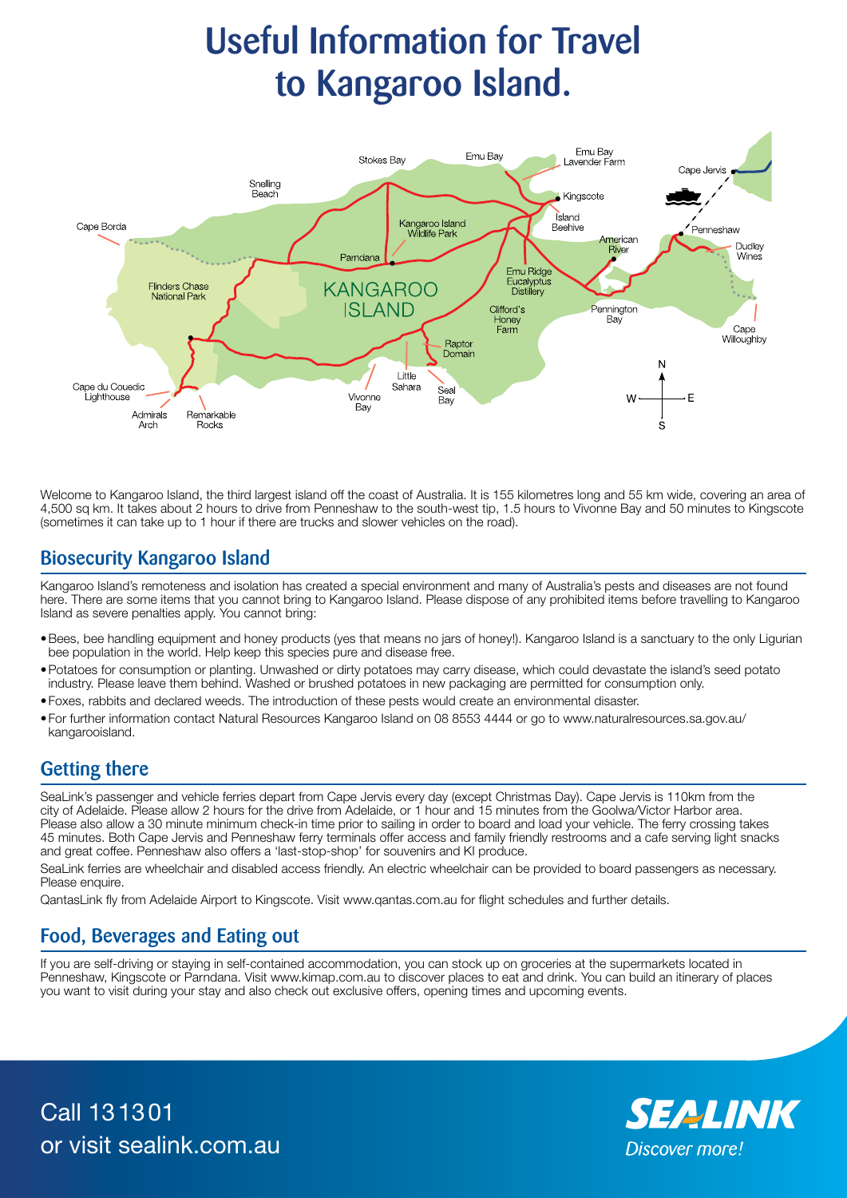# Useful Information for Travel to Kangaroo Island.



Welcome to Kangaroo Island, the third largest island off the coast of Australia. It is 155 kilometres long and 55 km wide, covering an area of 4,500 sq km. It takes about 2 hours to drive from Penneshaw to the south-west tip, 1.5 hours to Vivonne Bay and 50 minutes to Kingscote (sometimes it can take up to 1 hour if there are trucks and slower vehicles on the road).

# Biosecurity Kangaroo Island

Kangaroo Island's remoteness and isolation has created a special environment and many of Australia's pests and diseases are not found here. There are some items that you cannot bring to Kangaroo Island. Please dispose of any prohibited items before travelling to Kangaroo Island as severe penalties apply. You cannot bring:

- •Bees, bee handling equipment and honey products (yes that means no jars of honey!). Kangaroo Island is a sanctuary to the only Ligurian bee population in the world. Help keep this species pure and disease free.
- •Potatoes for consumption or planting. Unwashed or dirty potatoes may carry disease, which could devastate the island's seed potato industry. Please leave them behind. Washed or brushed potatoes in new packaging are permitted for consumption only.
- •Foxes, rabbits and declared weeds. The introduction of these pests would create an environmental disaster.
- •For further information contact Natural Resources Kangaroo Island on 08 8553 4444 or go to www.naturalresources.sa.gov.au/ kangarooisland.

# Getting there

SeaLink's passenger and vehicle ferries depart from Cape Jervis every day (except Christmas Day). Cape Jervis is 110km from the city of Adelaide. Please allow 2 hours for the drive from Adelaide, or 1 hour and 15 minutes from the Goolwa/Victor Harbor area. Please also allow a 30 minute minimum check-in time prior to sailing in order to board and load your vehicle. The ferry crossing takes 45 minutes. Both Cape Jervis and Penneshaw ferry terminals offer access and family friendly restrooms and a cafe serving light snacks and great coffee. Penneshaw also offers a 'last-stop-shop' for souvenirs and KI produce.

SeaLink ferries are wheelchair and disabled access friendly. An electric wheelchair can be provided to board passengers as necessary. Please enquire.

QantasLink fly from Adelaide Airport to Kingscote. Visit www.qantas.com.au for flight schedules and further details.

# Food, Beverages and Eating out

If you are self-driving or staying in self-contained accommodation, you can stock up on groceries at the supermarkets located in Penneshaw, Kingscote or Parndana. Visit www.kimap.com.au to discover places to eat and drink. You can build an itinerary of places you want to visit during your stay and also check out exclusive offers, opening times and upcoming events.

Call 131301 or visit sealink.com.au

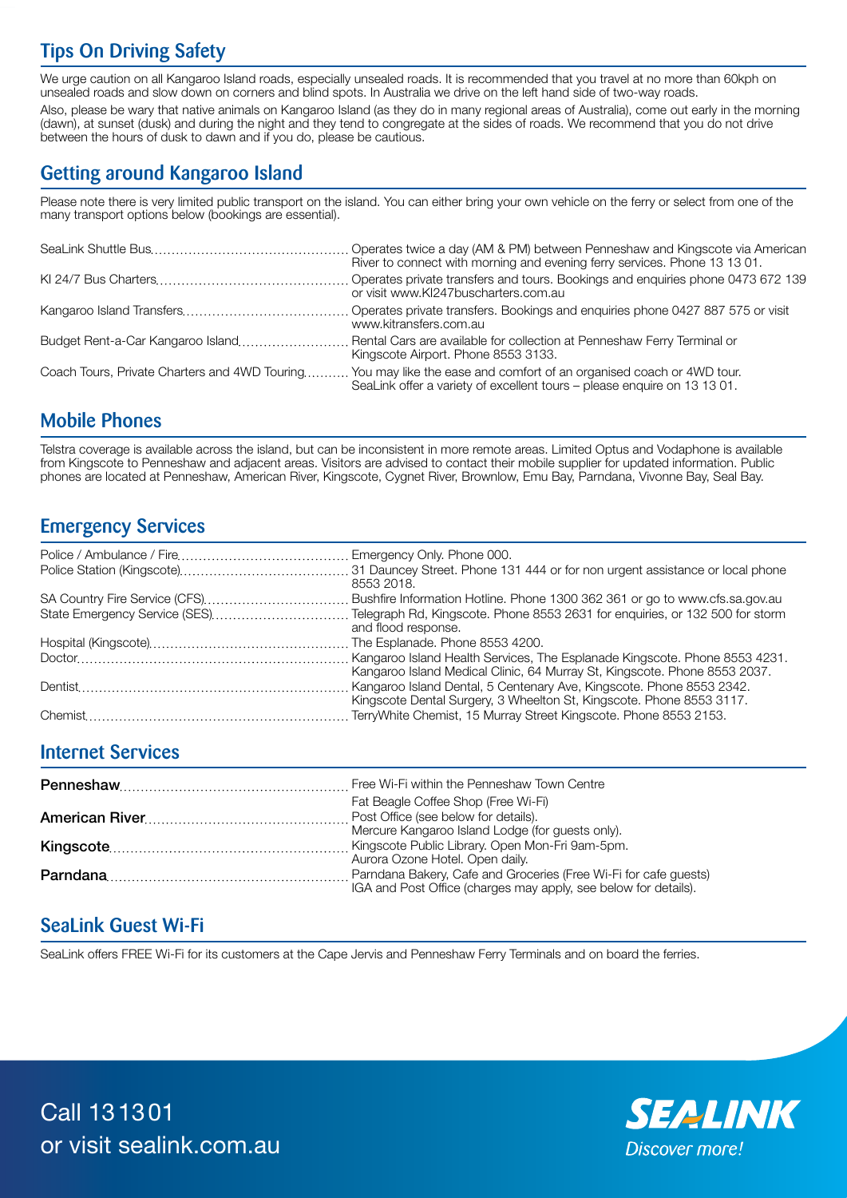# Tips On Driving Safety

We urge caution on all Kangaroo Island roads, especially unsealed roads. It is recommended that you travel at no more than 60kph on unsealed roads and slow down on corners and blind spots. In Australia we drive on the left hand side of two-way roads.

Also, please be wary that native animals on Kangaroo Island (as they do in many regional areas of Australia), come out early in the morning (dawn), at sunset (dusk) and during the night and they tend to congregate at the sides of roads. We recommend that you do not drive between the hours of dusk to dawn and if you do, please be cautious.

# Getting around Kangaroo Island

Please note there is very limited public transport on the island. You can either bring your own vehicle on the ferry or select from one of the many transport options below (bookings are essential).

| River to connect with morning and evening ferry services. Phone 13 13 01.                                                                                                                      |
|------------------------------------------------------------------------------------------------------------------------------------------------------------------------------------------------|
| or visit www.KI247buscharters.com.au                                                                                                                                                           |
| www.kitransfers.com.au                                                                                                                                                                         |
| Budget Rent-a-Car Kangaroo Island Rental Cars are available for collection at Penneshaw Ferry Terminal or<br>Kingscote Airport. Phone 8553 3133.                                               |
| Coach Tours, Private Charters and 4WD Touring You may like the ease and comfort of an organised coach or 4WD tour.<br>SeaLink offer a variety of excellent tours - please enquire on 13 13 01. |

# Mobile Phones

Telstra coverage is available across the island, but can be inconsistent in more remote areas. Limited Optus and Vodaphone is available from Kingscote to Penneshaw and adjacent areas. Visitors are advised to contact their mobile supplier for updated information. Public phones are located at Penneshaw, American River, Kingscote, Cygnet River, Brownlow, Emu Bay, Parndana, Vivonne Bay, Seal Bay.

# Emergency Services

| 8553 2018.                                                                                                                       |
|----------------------------------------------------------------------------------------------------------------------------------|
|                                                                                                                                  |
| State Emergency Service (SES)Telegraph Rd, Kingscote. Phone 8553 2631 for enquiries, or 132 500 for storm<br>and flood response. |
|                                                                                                                                  |
|                                                                                                                                  |
| Kangaroo Island Medical Clinic, 64 Murray St, Kingscote. Phone 8553 2037.                                                        |
| Kingscote Dental Surgery, 3 Wheelton St, Kingscote. Phone 8553 3117.                                                             |
|                                                                                                                                  |

#### Internet Services

| Fat Beagle Coffee Shop (Free Wi-Fi)                             |
|-----------------------------------------------------------------|
|                                                                 |
| Mercure Kangaroo Island Lodge (for quests only).                |
|                                                                 |
| Aurora Ozone Hotel. Open daily.                                 |
|                                                                 |
| IGA and Post Office (charges may apply, see below for details). |

# SeaLink Guest Wi-Fi

SeaLink offers FREE Wi-Fi for its customers at the Cape Jervis and Penneshaw Ferry Terminals and on board the ferries.



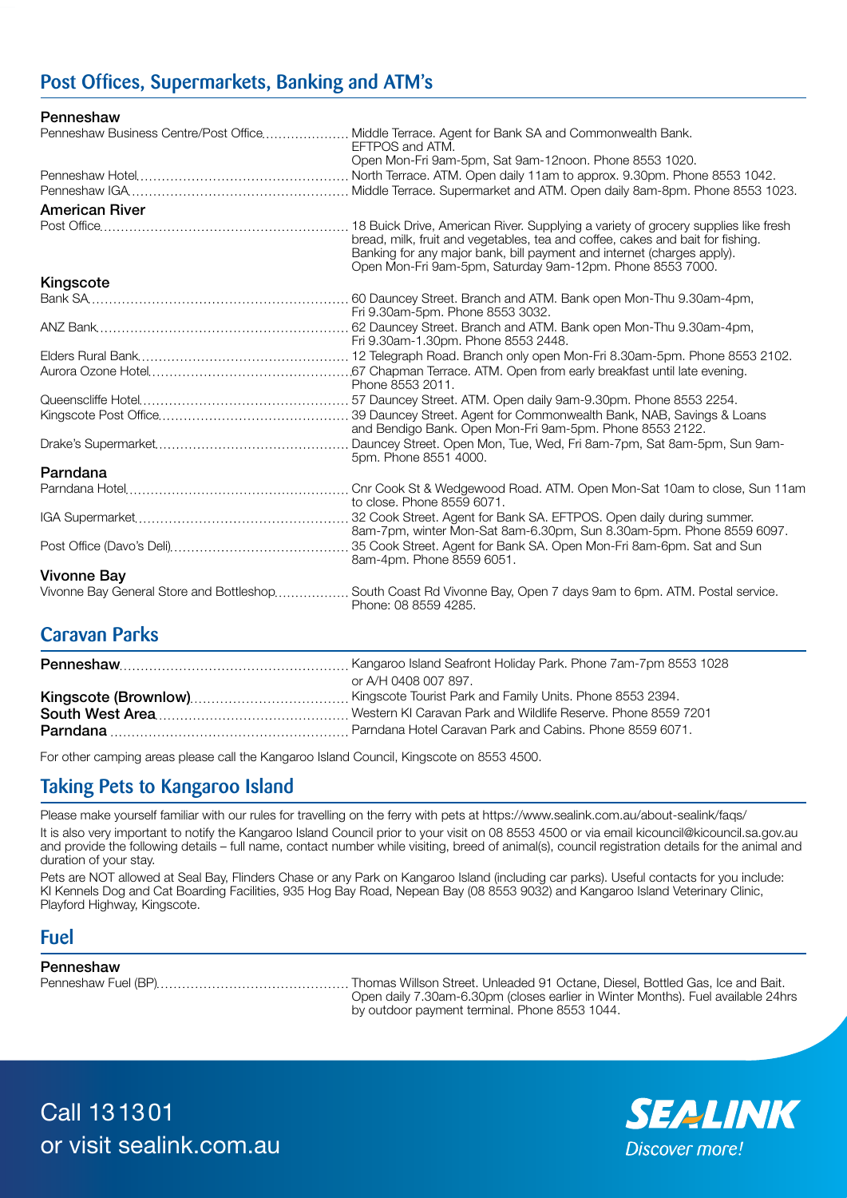# Post Offices, Supermarkets, Banking and ATM's

Penneshaw

|                       | Penneshaw Business Centre/Post Office Middle Terrace. Agent for Bank SA and Commonwealth Bank.<br>EFTPOS and ATM.                         |
|-----------------------|-------------------------------------------------------------------------------------------------------------------------------------------|
|                       | Open Mon-Fri 9am-5pm, Sat 9am-12noon. Phone 8553 1020.                                                                                    |
|                       |                                                                                                                                           |
|                       |                                                                                                                                           |
| <b>American River</b> |                                                                                                                                           |
|                       | bread, milk, fruit and vegetables, tea and coffee, cakes and bait for fishing.                                                            |
|                       | Banking for any major bank, bill payment and internet (charges apply).<br>Open Mon-Fri 9am-5pm, Saturday 9am-12pm. Phone 8553 7000.       |
| Kingscote             |                                                                                                                                           |
|                       | Fri 9.30am-5pm. Phone 8553 3032.                                                                                                          |
|                       | Fri 9.30am-1.30pm. Phone 8553 2448.                                                                                                       |
|                       |                                                                                                                                           |
|                       | Phone 8553 2011.                                                                                                                          |
|                       |                                                                                                                                           |
|                       | and Bendigo Bank. Open Mon-Fri 9am-5pm. Phone 8553 2122.                                                                                  |
|                       | 5pm. Phone 8551 4000.                                                                                                                     |
| Parndana              |                                                                                                                                           |
|                       | to close, Phone 8559 6071.                                                                                                                |
|                       | 8am-7pm, winter Mon-Sat 8am-6.30pm, Sun 8.30am-5pm. Phone 8559 6097.                                                                      |
|                       | 8am-4pm. Phone 8559 6051.                                                                                                                 |
| <b>Vivonne Bay</b>    |                                                                                                                                           |
|                       | Vivonne Bay General Store and Bottleshop South Coast Rd Vivonne Bay, Open 7 days 9am to 6pm. ATM. Postal service.<br>Phone: 08 8559 4285. |

# Caravan Parks

| or A/H 0408 007 897. |
|----------------------|
|                      |
|                      |
|                      |

For other camping areas please call the Kangaroo Island Council, Kingscote on 8553 4500.

# Taking Pets to Kangaroo Island

Please make yourself familiar with our rules for travelling on the ferry with pets at https://www.sealink.com.au/about-sealink/faqs/

It is also very important to notify the Kangaroo Island Council prior to your visit on 08 8553 4500 or via email kicouncil@kicouncil.sa.gov.au and provide the following details – full name, contact number while visiting, breed of animal(s), council registration details for the animal and duration of your stay.

Pets are NOT allowed at Seal Bay, Flinders Chase or any Park on Kangaroo Island (including car parks). Useful contacts for you include: KI Kennels Dog and Cat Boarding Facilities, 935 Hog Bay Road, Nepean Bay (08 8553 9032) and Kangaroo Island Veterinary Clinic, Playford Highway, Kingscote.

#### Fuel

#### Penneshaw

Penneshaw Fuel (BP) Thomas Willson Street. Unleaded 91 Octane, Diesel, Bottled Gas, Ice and Bait. Open daily 7.30am-6.30pm (closes earlier in Winter Months). Fuel available 24hrs by outdoor payment terminal. Phone 8553 1044.

Call 131301 or visit sealink.com.au